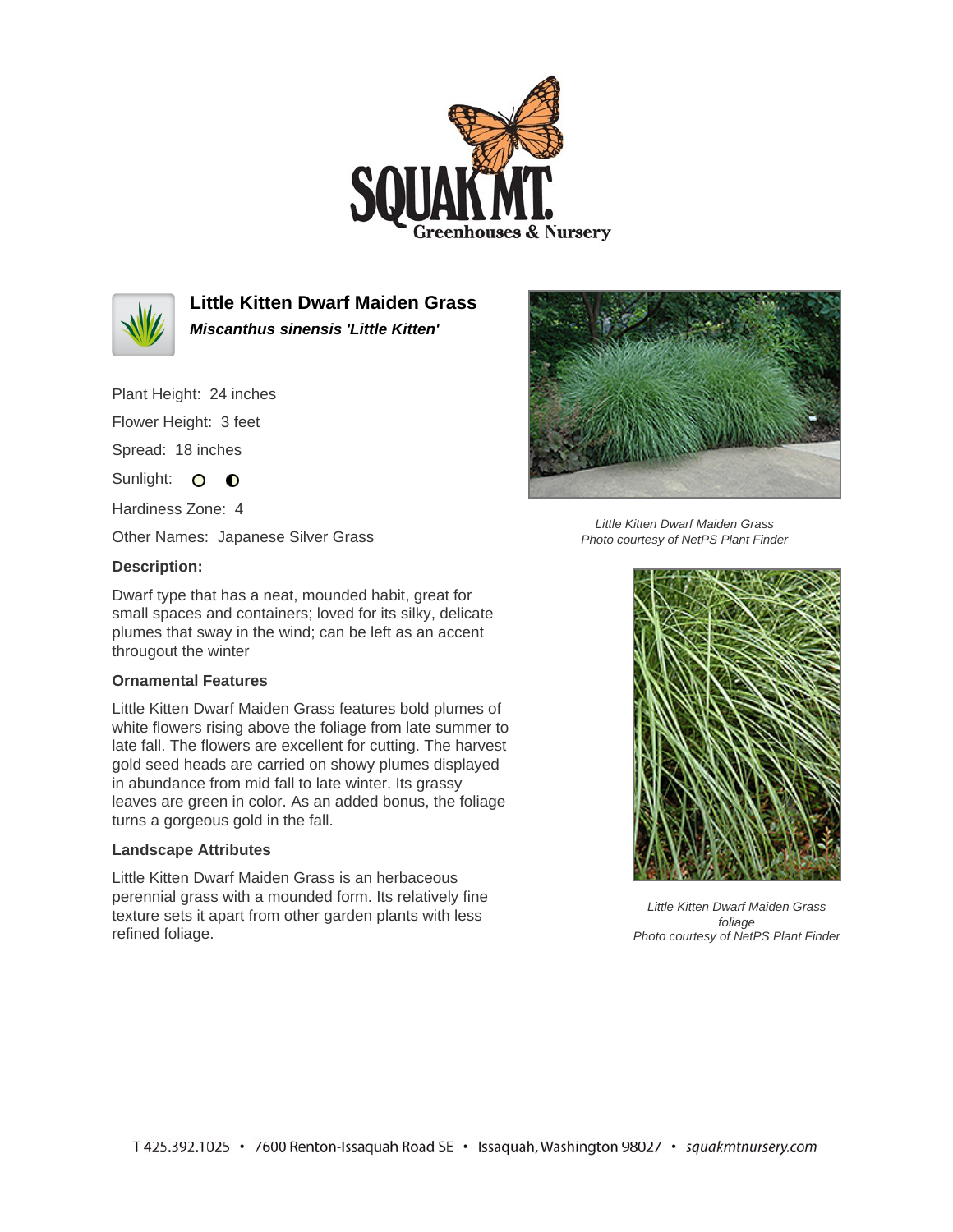



**Little Kitten Dwarf Maiden Grass Miscanthus sinensis 'Little Kitten'**

Plant Height: 24 inches

Flower Height: 3 feet

Spread: 18 inches

Sunlight: O **O** 

Hardiness Zone: 4

Other Names: Japanese Silver Grass

## **Description:**

Dwarf type that has a neat, mounded habit, great for small spaces and containers; loved for its silky, delicate plumes that sway in the wind; can be left as an accent througout the winter

## **Ornamental Features**

Little Kitten Dwarf Maiden Grass features bold plumes of white flowers rising above the foliage from late summer to late fall. The flowers are excellent for cutting. The harvest gold seed heads are carried on showy plumes displayed in abundance from mid fall to late winter. Its grassy leaves are green in color. As an added bonus, the foliage turns a gorgeous gold in the fall.

## **Landscape Attributes**

Little Kitten Dwarf Maiden Grass is an herbaceous perennial grass with a mounded form. Its relatively fine texture sets it apart from other garden plants with less refined foliage.



Little Kitten Dwarf Maiden Grass Photo courtesy of NetPS Plant Finder



Little Kitten Dwarf Maiden Grass foliage Photo courtesy of NetPS Plant Finder